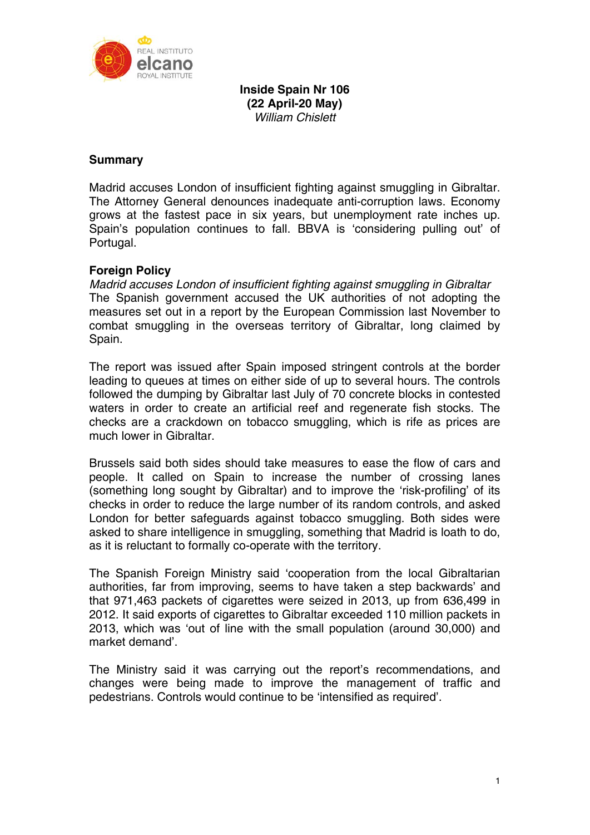

**Inside Spain Nr 106 (22 April-20 May)**  *William Chislett* 

## **Summary**

Madrid accuses London of insufficient fighting against smuggling in Gibraltar. The Attorney General denounces inadequate anti-corruption laws. Economy grows at the fastest pace in six years, but unemployment rate inches up. Spain's population continues to fall. BBVA is 'considering pulling out' of Portugal.

# **Foreign Policy**

*Madrid accuses London of insufficient fighting against smuggling in Gibraltar*  The Spanish government accused the UK authorities of not adopting the measures set out in a report by the European Commission last November to combat smuggling in the overseas territory of Gibraltar, long claimed by Spain.

The report was issued after Spain imposed stringent controls at the border leading to queues at times on either side of up to several hours. The controls followed the dumping by Gibraltar last July of 70 concrete blocks in contested waters in order to create an artificial reef and regenerate fish stocks. The checks are a crackdown on tobacco smuggling, which is rife as prices are much lower in Gibraltar.

Brussels said both sides should take measures to ease the flow of cars and people. It called on Spain to increase the number of crossing lanes (something long sought by Gibraltar) and to improve the 'risk-profiling' of its checks in order to reduce the large number of its random controls, and asked London for better safeguards against tobacco smuggling. Both sides were asked to share intelligence in smuggling, something that Madrid is loath to do, as it is reluctant to formally co-operate with the territory.

The Spanish Foreign Ministry said 'cooperation from the local Gibraltarian authorities, far from improving, seems to have taken a step backwards' and that 971,463 packets of cigarettes were seized in 2013, up from 636,499 in 2012. It said exports of cigarettes to Gibraltar exceeded 110 million packets in 2013, which was 'out of line with the small population (around 30,000) and market demand'.

The Ministry said it was carrying out the report's recommendations, and changes were being made to improve the management of traffic and pedestrians. Controls would continue to be 'intensified as required'.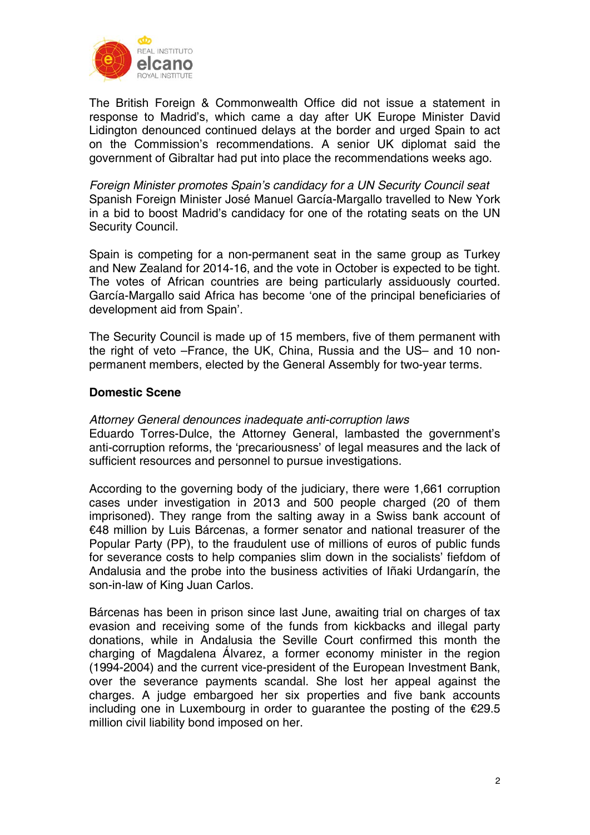

The British Foreign & Commonwealth Office did not issue a statement in response to Madrid's, which came a day after UK Europe Minister David Lidington denounced continued delays at the border and urged Spain to act on the Commission's recommendations. A senior UK diplomat said the government of Gibraltar had put into place the recommendations weeks ago.

*Foreign Minister promotes Spain's candidacy for a UN Security Council seat*  Spanish Foreign Minister José Manuel García-Margallo travelled to New York in a bid to boost Madrid's candidacy for one of the rotating seats on the UN Security Council.

Spain is competing for a non-permanent seat in the same group as Turkey and New Zealand for 2014-16, and the vote in October is expected to be tight. The votes of African countries are being particularly assiduously courted. García-Margallo said Africa has become 'one of the principal beneficiaries of development aid from Spain'.

The Security Council is made up of 15 members, five of them permanent with the right of veto –France, the UK, China, Russia and the US– and 10 nonpermanent members, elected by the General Assembly for two-year terms.

## **Domestic Scene**

## *Attorney General denounces inadequate anti-corruption laws*

Eduardo Torres-Dulce, the Attorney General, lambasted the government's anti-corruption reforms, the 'precariousness' of legal measures and the lack of sufficient resources and personnel to pursue investigations.

According to the governing body of the judiciary, there were 1,661 corruption cases under investigation in 2013 and 500 people charged (20 of them imprisoned). They range from the salting away in a Swiss bank account of €48 million by Luis Bárcenas, a former senator and national treasurer of the Popular Party (PP), to the fraudulent use of millions of euros of public funds for severance costs to help companies slim down in the socialists' fiefdom of Andalusia and the probe into the business activities of Iñaki Urdangarín, the son-in-law of King Juan Carlos.

Bárcenas has been in prison since last June, awaiting trial on charges of tax evasion and receiving some of the funds from kickbacks and illegal party donations, while in Andalusia the Seville Court confirmed this month the charging of Magdalena Álvarez, a former economy minister in the region (1994-2004) and the current vice-president of the European Investment Bank, over the severance payments scandal. She lost her appeal against the charges. A judge embargoed her six properties and five bank accounts including one in Luxembourg in order to guarantee the posting of the €29.5 million civil liability bond imposed on her.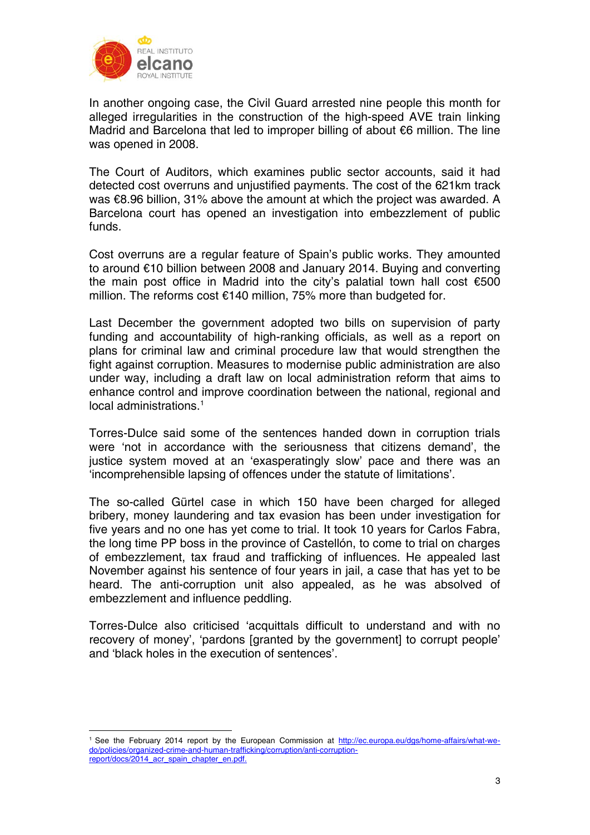

In another ongoing case, the Civil Guard arrested nine people this month for alleged irregularities in the construction of the high-speed AVE train linking Madrid and Barcelona that led to improper billing of about €6 million. The line was opened in 2008.

The Court of Auditors, which examines public sector accounts, said it had detected cost overruns and unjustified payments. The cost of the 621km track was €8.96 billion, 31% above the amount at which the project was awarded. A Barcelona court has opened an investigation into embezzlement of public funds.

Cost overruns are a regular feature of Spain's public works. They amounted to around €10 billion between 2008 and January 2014. Buying and converting the main post office in Madrid into the city's palatial town hall cost €500 million. The reforms cost €140 million, 75% more than budgeted for.

Last December the government adopted two bills on supervision of party funding and accountability of high-ranking officials, as well as a report on plans for criminal law and criminal procedure law that would strengthen the fight against corruption. Measures to modernise public administration are also under way, including a draft law on local administration reform that aims to enhance control and improve coordination between the national, regional and local administrations.<sup>1</sup>

Torres-Dulce said some of the sentences handed down in corruption trials were 'not in accordance with the seriousness that citizens demand', the justice system moved at an 'exasperatingly slow' pace and there was an 'incomprehensible lapsing of offences under the statute of limitations'.

The so-called Gürtel case in which 150 have been charged for alleged bribery, money laundering and tax evasion has been under investigation for five years and no one has yet come to trial. It took 10 years for Carlos Fabra, the long time PP boss in the province of Castellón, to come to trial on charges of embezzlement, tax fraud and trafficking of influences. He appealed last November against his sentence of four years in jail, a case that has yet to be heard. The anti-corruption unit also appealed, as he was absolved of embezzlement and influence peddling.

Torres-Dulce also criticised 'acquittals difficult to understand and with no recovery of money', 'pardons [granted by the government] to corrupt people' and 'black holes in the execution of sentences'.

<sup>1</sup> 1 See the February 2014 report by the European Commission at http://ec.europa.eu/dgs/home-affairs/what-wedo/policies/organized-crime-and-human-trafficking/corruption/anti-corruptionreport/docs/2014\_acr\_spain\_chapter\_en.pdf.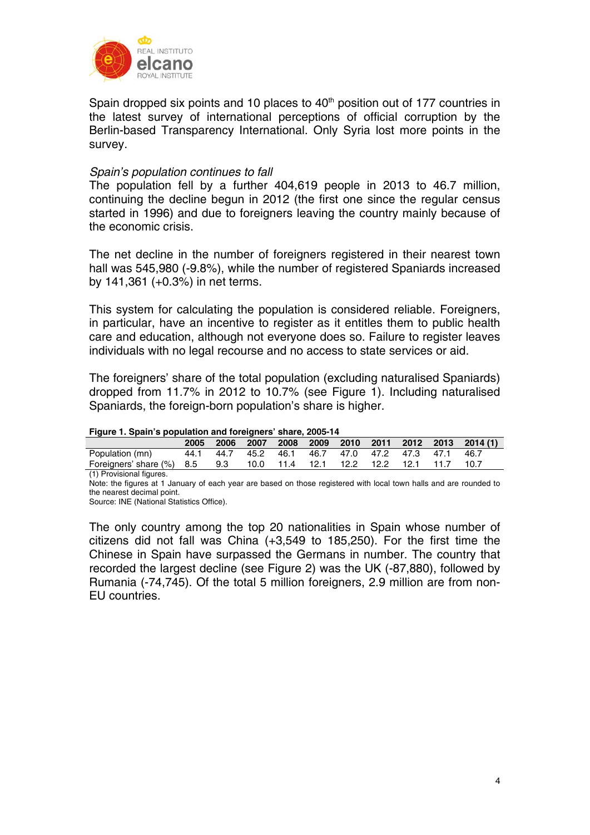

Spain dropped six points and 10 places to  $40<sup>th</sup>$  position out of 177 countries in the latest survey of international perceptions of official corruption by the Berlin-based Transparency International. Only Syria lost more points in the survey.

### *Spain's population continues to fall*

The population fell by a further 404,619 people in 2013 to 46.7 million, continuing the decline begun in 2012 (the first one since the regular census started in 1996) and due to foreigners leaving the country mainly because of the economic crisis.

The net decline in the number of foreigners registered in their nearest town hall was 545,980 (-9.8%), while the number of registered Spaniards increased by 141,361 (+0.3%) in net terms.

This system for calculating the population is considered reliable. Foreigners, in particular, have an incentive to register as it entitles them to public health care and education, although not everyone does so. Failure to register leaves individuals with no legal recourse and no access to state services or aid.

The foreigners' share of the total population (excluding naturalised Spaniards) dropped from 11.7% in 2012 to 10.7% (see Figure 1). Including naturalised Spaniards, the foreign-born population's share is higher.

|                                                                  | 2005 | 2006 |                                                   |  |  |  | 2007 2008 2009 2010 2011 2012 2013 2014(1) |
|------------------------------------------------------------------|------|------|---------------------------------------------------|--|--|--|--------------------------------------------|
| Population (mn)                                                  |      |      | 44.1 44.7 45.2 46.1 46.7 47.0 47.2 47.3 47.1 46.7 |  |  |  |                                            |
| Foreigners' share (%) 8.5 9.3 10.0 11.4 12.1 12.2 12.2 12.1 11.7 |      |      |                                                   |  |  |  | 10.7                                       |

(1) Provisional figures.

Note: the figures at 1 January of each year are based on those registered with local town halls and are rounded to the nearest decimal point.

Source: INE (National Statistics Office).

The only country among the top 20 nationalities in Spain whose number of citizens did not fall was China (+3,549 to 185,250). For the first time the Chinese in Spain have surpassed the Germans in number. The country that recorded the largest decline (see Figure 2) was the UK (-87,880), followed by Rumania (-74,745). Of the total 5 million foreigners, 2.9 million are from non-EU countries.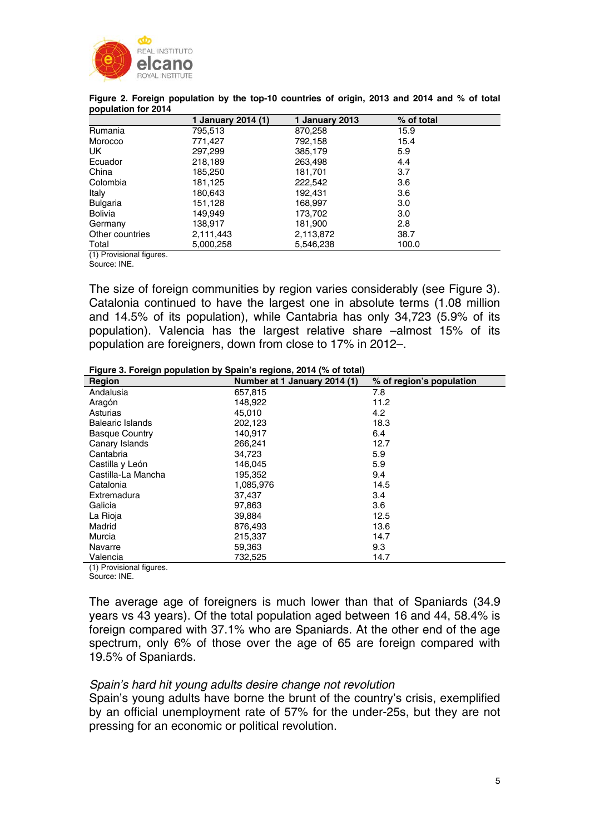

| <u>r - r -</u>             | 1 January 2014 (1) | 1 January 2013 | % of total |
|----------------------------|--------------------|----------------|------------|
| Rumania                    | 795,513            | 870,258        | 15.9       |
| Morocco                    | 771,427            | 792,158        | 15.4       |
| UK.                        | 297,299            | 385,179        | 5.9        |
| Ecuador                    | 218,189            | 263,498        | 4.4        |
| China                      | 185,250            | 181,701        | 3.7        |
| Colombia                   | 181,125            | 222,542        | 3.6        |
| Italy                      | 180,643            | 192,431        | 3.6        |
| <b>Bulgaria</b>            | 151,128            | 168,997        | 3.0        |
| <b>Bolivia</b>             | 149,949            | 173,702        | 3.0        |
| Germany                    | 138,917            | 181,900        | 2.8        |
| Other countries            | 2,111,443          | 2,113,872      | 38.7       |
| Total                      | 5,000,258          | 5,546,238      | 100.0      |
| $(1)$ Dravisianal figureas |                    |                |            |

| Figure 2. Foreign population by the top-10 countries of origin, 2013 and 2014 and % of total |  |
|----------------------------------------------------------------------------------------------|--|
| population for 2014                                                                          |  |

(1) Provisional figures.

Source: INE.

The size of foreign communities by region varies considerably (see Figure 3). Catalonia continued to have the largest one in absolute terms (1.08 million and 14.5% of its population), while Cantabria has only 34,723 (5.9% of its population). Valencia has the largest relative share –almost 15% of its population are foreigners, down from close to 17% in 2012–.

|  | Figure 3. Foreign population by Spain's regions, 2014 (% of total) |  |  |  |
|--|--------------------------------------------------------------------|--|--|--|
|  |                                                                    |  |  |  |
|  |                                                                    |  |  |  |

| Region                  | Number at 1 January 2014 (1) | % of region's population |
|-------------------------|------------------------------|--------------------------|
| Andalusia               | 657,815                      | 7.8                      |
| Aragón                  | 148,922                      | 11.2                     |
| Asturias                | 45,010                       | 4.2                      |
| <b>Balearic Islands</b> | 202,123                      | 18.3                     |
| <b>Basque Country</b>   | 140,917                      | 6.4                      |
| Canary Islands          | 266,241                      | 12.7                     |
| Cantabria               | 34,723                       | 5.9                      |
| Castilla y León         | 146,045                      | 5.9                      |
| Castilla-La Mancha      | 195,352                      | 9.4                      |
| Catalonia               | 1,085,976                    | 14.5                     |
| Extremadura             | 37.437                       | 3.4                      |
| Galicia                 | 97.863                       | 3.6                      |
| La Rioja                | 39,884                       | 12.5                     |
| Madrid                  | 876,493                      | 13.6                     |
| Murcia                  | 215,337                      | 14.7                     |
| Navarre                 | 59,363                       | 9.3                      |
| Valencia<br>$\cdots$    | 732,525                      | 14.7                     |

(1) Provisional figures.

Source: INE.

The average age of foreigners is much lower than that of Spaniards (34.9 years vs 43 years). Of the total population aged between 16 and 44, 58.4% is foreign compared with 37.1% who are Spaniards. At the other end of the age spectrum, only 6% of those over the age of 65 are foreign compared with 19.5% of Spaniards.

## *Spain's hard hit young adults desire change not revolution*

Spain's young adults have borne the brunt of the country's crisis, exemplified by an official unemployment rate of 57% for the under-25s, but they are not pressing for an economic or political revolution.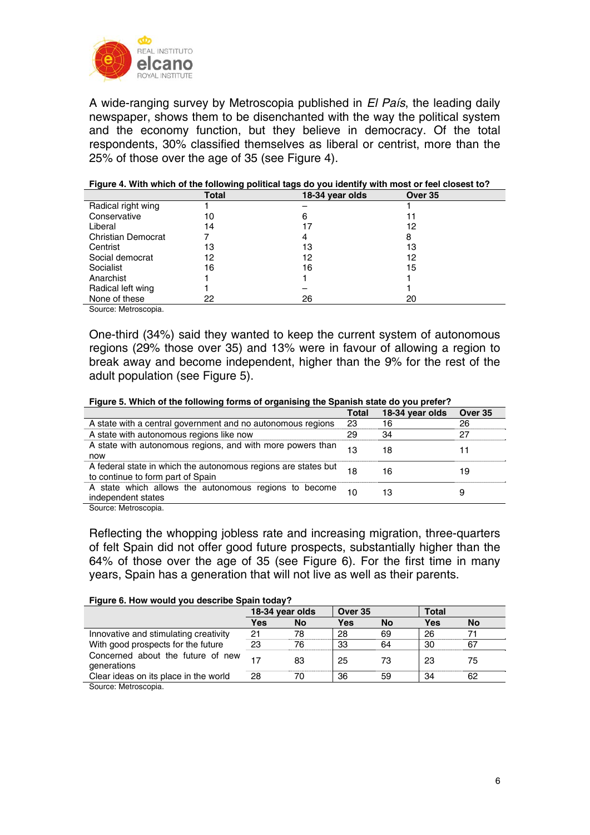

A wide-ranging survey by Metroscopia published in *El País*, the leading daily newspaper, shows them to be disenchanted with the way the political system and the economy function, but they believe in democracy. Of the total respondents, 30% classified themselves as liberal or centrist, more than the 25% of those over the age of 35 (see Figure 4).

|                           | <b>Total</b> | 18-34 year olds | Over 35 |
|---------------------------|--------------|-----------------|---------|
| Radical right wing        |              |                 |         |
| Conservative              | 10           | 6               |         |
| Liberal                   | 14           | 17              | 12      |
| <b>Christian Democrat</b> |              |                 | 8       |
| Centrist                  | 13           | 13              | 13      |
| Social democrat           | 12           | 12              | 12      |
| Socialist                 | 16           | 16              | 15      |
| Anarchist                 |              |                 |         |
| Radical left wing         |              |                 |         |
| None of these             | 22           | 26              | 20      |
|                           |              |                 |         |

#### **Figure 4. With which of the following political tags do you identify with most or feel closest to?**

Source: Metroscopia.

One-third (34%) said they wanted to keep the current system of autonomous regions (29% those over 35) and 13% were in favour of allowing a region to break away and become independent, higher than the 9% for the rest of the adult population (see Figure 5).

#### **Figure 5. Which of the following forms of organising the Spanish state do you prefer?**

|                                                                                                     | Total | 18-34 year olds | Over 35 |
|-----------------------------------------------------------------------------------------------------|-------|-----------------|---------|
| A state with a central government and no autonomous regions                                         | 23    | 16              | 26      |
| A state with autonomous regions like now                                                            | 29    | 34              | 27      |
| A state with autonomous regions, and with more powers than<br>now                                   | 13    | 18              | 11      |
| A federal state in which the autonomous regions are states but<br>to continue to form part of Spain | 18    | 16              | 19      |
| A state which allows the autonomous regions to become<br>independent states                         | 10    | 13              | 9       |
| Source: Motroccopia                                                                                 |       |                 |         |

Source: Metroscopia.

Reflecting the whopping jobless rate and increasing migration, three-quarters of felt Spain did not offer good future prospects, substantially higher than the 64% of those over the age of 35 (see Figure 6). For the first time in many years, Spain has a generation that will not live as well as their parents.

#### **Figure 6. How would you describe Spain today?**

|                                                  | 18-34 year olds |    |     | Over 35 |     | <b>Total</b> |  |
|--------------------------------------------------|-----------------|----|-----|---------|-----|--------------|--|
|                                                  | Yes             | No | Yes | No      | Yes | <b>No</b>    |  |
| Innovative and stimulating creativity            | 21              | 78 | 28  | 69      | 26  |              |  |
| With good prospects for the future               | 23              | 76 | 33  | 64      | 30  | 67           |  |
| Concerned about the future of new<br>generations | 17              | 83 | 25  | 73      | 23  | 75           |  |
| Clear ideas on its place in the world            | 28              | 70 | 36  | 59      | 34  | 62           |  |
| Source: Metroscopia.                             |                 |    |     |         |     |              |  |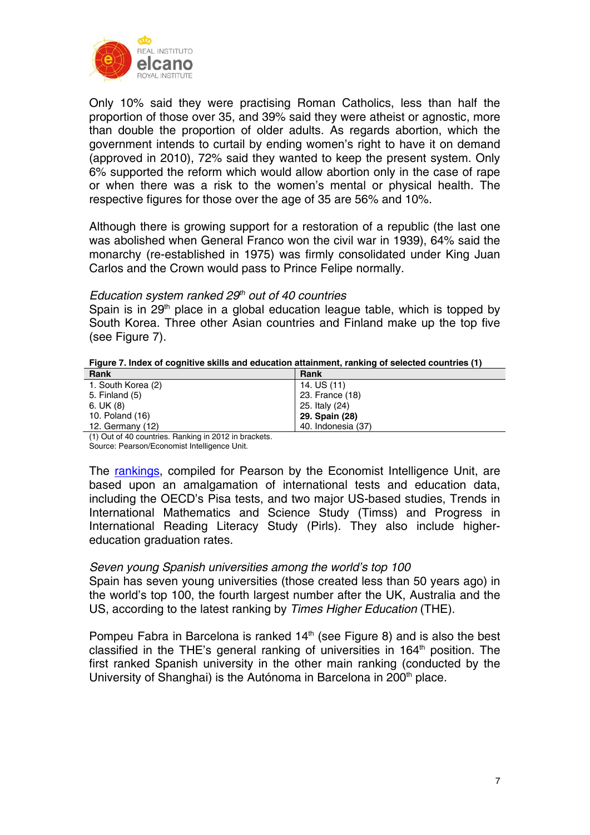

Only 10% said they were practising Roman Catholics, less than half the proportion of those over 35, and 39% said they were atheist or agnostic, more than double the proportion of older adults. As regards abortion, which the government intends to curtail by ending women's right to have it on demand (approved in 2010), 72% said they wanted to keep the present system. Only 6% supported the reform which would allow abortion only in the case of rape or when there was a risk to the women's mental or physical health. The respective figures for those over the age of 35 are 56% and 10%.

Although there is growing support for a restoration of a republic (the last one was abolished when General Franco won the civil war in 1939), 64% said the monarchy (re-established in 1975) was firmly consolidated under King Juan Carlos and the Crown would pass to Prince Felipe normally.

## *Education system ranked 29th out of 40 countries*

Spain is in 29<sup>th</sup> place in a global education league table, which is topped by South Korea. Three other Asian countries and Finland make up the top five (see Figure 7).

| Figure 7. Index of cognitive skills and education attainment, ranking of selected countries (1) |  |
|-------------------------------------------------------------------------------------------------|--|
|                                                                                                 |  |

| Rank                                                                                                                                                                                                                                                                                                                          | <b>Rank</b>        |
|-------------------------------------------------------------------------------------------------------------------------------------------------------------------------------------------------------------------------------------------------------------------------------------------------------------------------------|--------------------|
| 1. South Korea (2)                                                                                                                                                                                                                                                                                                            | 14. US (11)        |
| 5. Finland (5)                                                                                                                                                                                                                                                                                                                | 23. France (18)    |
| 6. UK(8)                                                                                                                                                                                                                                                                                                                      | 25. Italy (24)     |
| 10. Poland (16)                                                                                                                                                                                                                                                                                                               | 29. Spain (28)     |
| 12. Germany (12)                                                                                                                                                                                                                                                                                                              | 40. Indonesia (37) |
| $(1)$ $\alpha$ $1$ $\alpha$ $1$ $\alpha$ $1$ $\alpha$ $1$ $\alpha$ $1$ $\alpha$ $1$ $\alpha$ $1$ $\alpha$ $1$ $\alpha$ $1$ $\alpha$ $1$ $\alpha$ $1$ $\alpha$ $1$ $\alpha$ $1$ $\alpha$ $1$ $\alpha$ $1$ $\alpha$ $1$ $\alpha$ $1$ $\alpha$ $1$ $\alpha$ $1$ $\alpha$ $1$ $\alpha$ $1$ $\alpha$ $1$ $\alpha$ $1$ $\alpha$ $1$ |                    |

(1) Out of 40 countries. Ranking in 2012 in brackets. Source: Pearson/Economist Intelligence Unit.

The rankings, compiled for Pearson by the Economist Intelligence Unit, are based upon an amalgamation of international tests and education data, including the OECD's Pisa tests, and two major US-based studies, Trends in International Mathematics and Science Study (Timss) and Progress in International Reading Literacy Study (Pirls). They also include highereducation graduation rates.

## *Seven young Spanish universities among the world's top 100*

Spain has seven young universities (those created less than 50 years ago) in the world's top 100, the fourth largest number after the UK, Australia and the US, according to the latest ranking by *Times Higher Education* (THE).

Pompeu Fabra in Barcelona is ranked 14<sup>th</sup> (see Figure 8) and is also the best classified in the THE's general ranking of universities in 164<sup>th</sup> position. The first ranked Spanish university in the other main ranking (conducted by the University of Shanghai) is the Autónoma in Barcelona in 200<sup>th</sup> place.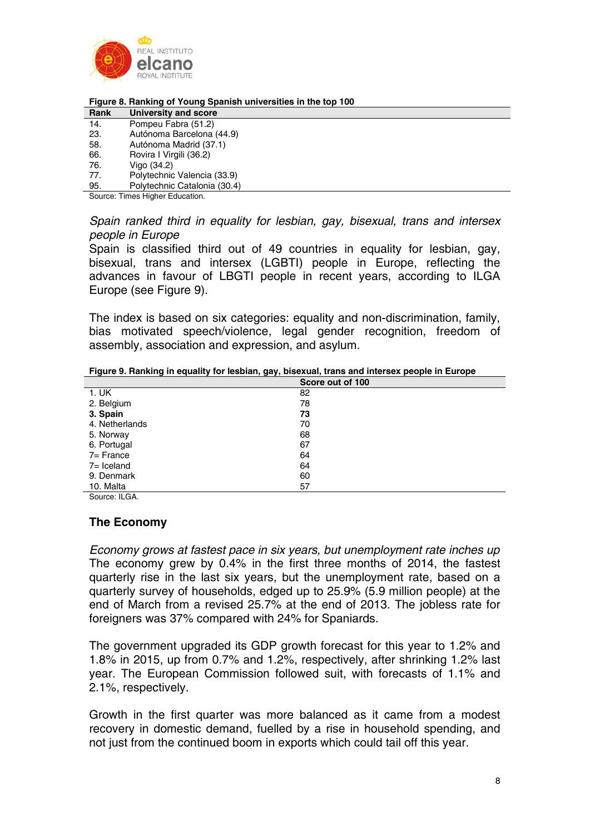

#### **Figure 8. Ranking of Young Spanish universities in the top 100**

| Rank   | <b>University and score</b>  |
|--------|------------------------------|
| 14.    | Pompeu Fabra (51.2)          |
| 23.    | Autónoma Barcelona (44.9)    |
| 58.    | Autónoma Madrid (37.1)       |
| 66.    | Rovira I Virgili (36.2)      |
| 76.    | Vigo (34.2)                  |
| 77.    | Polytechnic Valencia (33.9)  |
| 95.    | Polytechnic Catalonia (30.4) |
| $\sim$ | すいこう こうせいしょう すいしょうせいふ        |

Source: Times Higher Education.

*Spain ranked third in equality for lesbian, gay, bisexual, trans and intersex people in Europe* 

Spain is classified third out of 49 countries in equality for lesbian, gay, bisexual, trans and intersex (LGBTI) people in Europe, reflecting the advances in favour of LBGTI people in recent years, according to ILGA Europe (see Figure 9).

The index is based on six categories: equality and non-discrimination, family, bias motivated speech/violence, legal gender recognition, freedom of assembly, association and expression, and asylum.

**Figure 9. Ranking in equality for lesbian, gay, bisexual, trans and intersex people in Europe** 

|                | Score out of 100 |
|----------------|------------------|
| 1. UK          | 82               |
| 2. Belgium     | 78               |
| 3. Spain       | 73               |
| 4. Netherlands | 70               |
| 5. Norway      | 68               |
| 6. Portugal    | 67               |
| 7= France      | 64               |
| 7= Iceland     | 64               |
| 9. Denmark     | 60               |
| 10. Malta      | 57               |

Source: ILGA.

# **The Economy**

*Economy grows at fastest pace in six years, but unemployment rate inches up*  The economy grew by 0.4% in the first three months of 2014, the fastest quarterly rise in the last six years, but the unemployment rate, based on a quarterly survey of households, edged up to 25.9% (5.9 million people) at the end of March from a revised 25.7% at the end of 2013. The jobless rate for foreigners was 37% compared with 24% for Spaniards.

The government upgraded its GDP growth forecast for this year to 1.2% and 1.8% in 2015, up from 0.7% and 1.2%, respectively, after shrinking 1.2% last year. The European Commission followed suit, with forecasts of 1.1% and 2.1%, respectively.

Growth in the first quarter was more balanced as it came from a modest recovery in domestic demand, fuelled by a rise in household spending, and not just from the continued boom in exports which could tail off this year.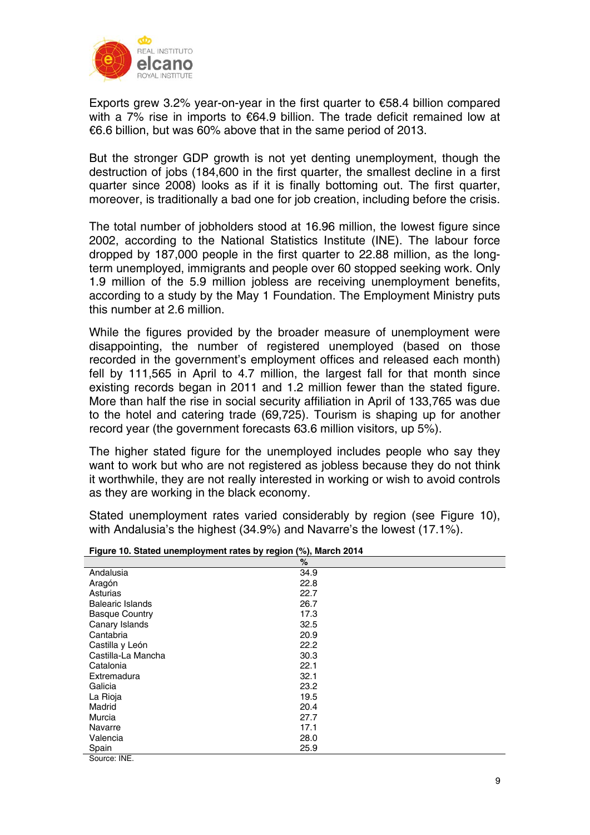

Exports grew 3.2% year-on-year in the first quarter to €58.4 billion compared with a 7% rise in imports to €64.9 billion. The trade deficit remained low at €6.6 billion, but was 60% above that in the same period of 2013.

But the stronger GDP growth is not yet denting unemployment, though the destruction of jobs (184,600 in the first quarter, the smallest decline in a first quarter since 2008) looks as if it is finally bottoming out. The first quarter, moreover, is traditionally a bad one for job creation, including before the crisis.

The total number of jobholders stood at 16.96 million, the lowest figure since 2002, according to the National Statistics Institute (INE). The labour force dropped by 187,000 people in the first quarter to 22.88 million, as the longterm unemployed, immigrants and people over 60 stopped seeking work. Only 1.9 million of the 5.9 million jobless are receiving unemployment benefits, according to a study by the May 1 Foundation. The Employment Ministry puts this number at 2.6 million.

While the figures provided by the broader measure of unemployment were disappointing, the number of registered unemployed (based on those recorded in the government's employment offices and released each month) fell by 111,565 in April to 4.7 million, the largest fall for that month since existing records began in 2011 and 1.2 million fewer than the stated figure. More than half the rise in social security affiliation in April of 133,765 was due to the hotel and catering trade (69,725). Tourism is shaping up for another record year (the government forecasts 63.6 million visitors, up 5%).

The higher stated figure for the unemployed includes people who say they want to work but who are not registered as jobless because they do not think it worthwhile, they are not really interested in working or wish to avoid controls as they are working in the black economy.

Stated unemployment rates varied considerably by region (see Figure 10), with Andalusia's the highest (34.9%) and Navarre's the lowest (17.1%).

|                         | $\%$ |
|-------------------------|------|
| Andalusia               | 34.9 |
| Aragón                  | 22.8 |
| Asturias                | 22.7 |
| <b>Balearic Islands</b> | 26.7 |
| <b>Basque Country</b>   | 17.3 |
| Canary Islands          | 32.5 |
| Cantabria               | 20.9 |
| Castilla y León         | 22.2 |
| Castilla-La Mancha      | 30.3 |
| Catalonia               | 22.1 |
| Extremadura             | 32.1 |
| Galicia                 | 23.2 |
| La Rioja                | 19.5 |
| Madrid                  | 20.4 |
| Murcia                  | 27.7 |
| Navarre                 | 17.1 |
| Valencia                | 28.0 |
| Spain                   | 25.9 |
| Source: INE.            |      |

**Figure 10. Stated unemployment rates by region (%), March 2014**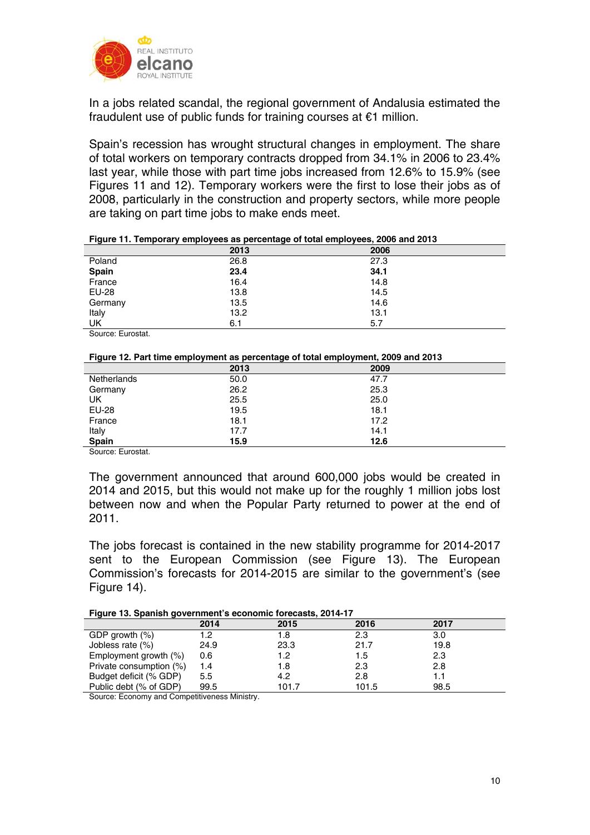

In a jobs related scandal, the regional government of Andalusia estimated the fraudulent use of public funds for training courses at €1 million.

Spain's recession has wrought structural changes in employment. The share of total workers on temporary contracts dropped from 34.1% in 2006 to 23.4% last year, while those with part time jobs increased from 12.6% to 15.9% (see Figures 11 and 12). Temporary workers were the first to lose their jobs as of 2008, particularly in the construction and property sectors, while more people are taking on part time jobs to make ends meet.

|         | 2013 | 2006 |
|---------|------|------|
| Poland  | 26.8 | 27.3 |
| Spain   | 23.4 | 34.1 |
| France  | 16.4 | 14.8 |
| EU-28   | 13.8 | 14.5 |
| Germany | 13.5 | 14.6 |
| Italy   | 13.2 | 13.1 |
| UK      | 6.1  | 5.7  |

**Figure 11. Temporary employees as percentage of total employees, 2006 and 2013** 

Source: Eurostat.

|  |  |  |  |  | Figure 12. Part time employment as percentage of total employment, 2009 and 2013 |
|--|--|--|--|--|----------------------------------------------------------------------------------|
|--|--|--|--|--|----------------------------------------------------------------------------------|

| --           |      |      |
|--------------|------|------|
|              | 2013 | 2009 |
| Netherlands  | 50.0 | 47.7 |
| Germany      | 26.2 | 25.3 |
| UK           | 25.5 | 25.0 |
| <b>EU-28</b> | 19.5 | 18.1 |
| France       | 18.1 | 17.2 |
| Italy        | 17.7 | 14.1 |
| Spain        | 15.9 | 12.6 |

Source: Eurostat.

The government announced that around 600,000 jobs would be created in 2014 and 2015, but this would not make up for the roughly 1 million jobs lost between now and when the Popular Party returned to power at the end of 2011.

The jobs forecast is contained in the new stability programme for 2014-2017 sent to the European Commission (see Figure 13). The European Commission's forecasts for 2014-2015 are similar to the government's (see Figure 14).

|  | Figure 13. Spanish government's economic forecasts, 2014-17 |  |
|--|-------------------------------------------------------------|--|
|  |                                                             |  |

|                         | 2014 | 2015  | 2016  | 2017 |  |
|-------------------------|------|-------|-------|------|--|
| GDP growth $(\%)$       | 1.2  | 1.8   | 2.3   | 3.0  |  |
| Jobless rate (%)        | 24.9 | 23.3  | 21.7  | 19.8 |  |
| Employment growth (%)   | 0.6  | 1.2   | 1.5   | 2.3  |  |
| Private consumption (%) | 1.4  | 1.8   | 2.3   | 2.8  |  |
| Budget deficit (% GDP)  | 5.5  | 4.2   | 2.8   |      |  |
| Public debt (% of GDP)  | 99.5 | 101.7 | 101.5 | 98.5 |  |

Source: Economy and Competitiveness Ministry.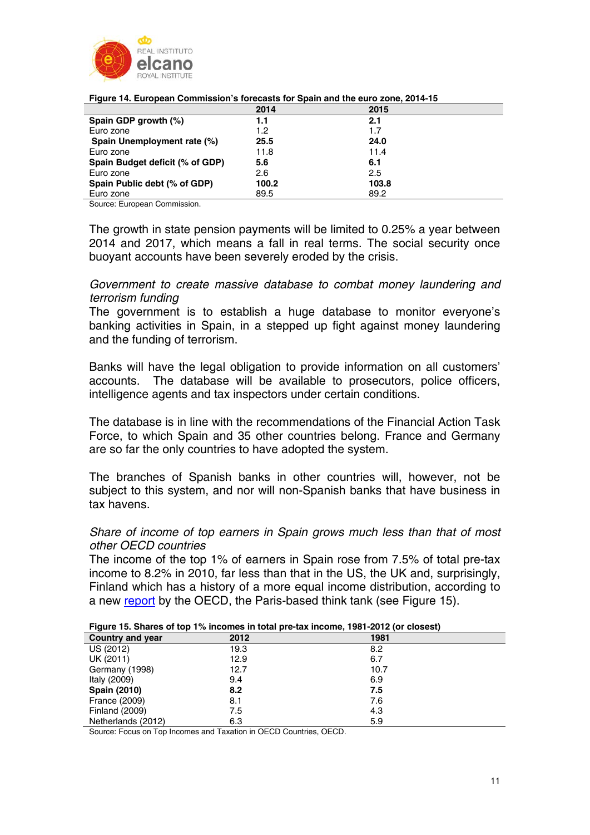

| $\sim$ . Then the contract of the contract of the contract of the contract of the contract of $\sim$ |                  |       |  |  |
|------------------------------------------------------------------------------------------------------|------------------|-------|--|--|
|                                                                                                      | 2014             | 2015  |  |  |
| Spain GDP growth (%)                                                                                 | 1.1              | 2.1   |  |  |
| Euro zone                                                                                            | 1.2 <sub>2</sub> | 1.7   |  |  |
| Spain Unemployment rate (%)                                                                          | 25.5             | 24.0  |  |  |
| Euro zone                                                                                            | 11.8             | 11.4  |  |  |
| Spain Budget deficit (% of GDP)                                                                      | 5.6              | 6.1   |  |  |
| Euro zone                                                                                            | 2.6              | 2.5   |  |  |
| Spain Public debt (% of GDP)                                                                         | 100.2            | 103.8 |  |  |
| Euro zone                                                                                            | 89.5             | 89.2  |  |  |

**Figure 14. European Commission's forecasts for Spain and the euro zone, 2014-15** 

Source: European Commission.

The growth in state pension payments will be limited to 0.25% a year between 2014 and 2017, which means a fall in real terms. The social security once buoyant accounts have been severely eroded by the crisis.

*Government to create massive database to combat money laundering and terrorism funding* 

The government is to establish a huge database to monitor everyone's banking activities in Spain, in a stepped up fight against money laundering and the funding of terrorism.

Banks will have the legal obligation to provide information on all customers' accounts. The database will be available to prosecutors, police officers, intelligence agents and tax inspectors under certain conditions.

The database is in line with the recommendations of the Financial Action Task Force, to which Spain and 35 other countries belong. France and Germany are so far the only countries to have adopted the system.

The branches of Spanish banks in other countries will, however, not be subject to this system, and nor will non-Spanish banks that have business in tax havens.

*Share of income of top earners in Spain grows much less than that of most other OECD countries* 

The income of the top 1% of earners in Spain rose from 7.5% of total pre-tax income to 8.2% in 2010, far less than that in the US, the UK and, surprisingly, Finland which has a history of a more equal income distribution, according to a new report by the OECD, the Paris-based think tank (see Figure 15).

|                         |      | Figure 15. Shares of top 176 incomes in total pre-tax income, 1961-2012 for closest) |
|-------------------------|------|--------------------------------------------------------------------------------------|
| <b>Country and year</b> | 2012 | 1981                                                                                 |
| US (2012)               | 19.3 | 8.2                                                                                  |
| UK (2011)               | 12.9 | 6.7                                                                                  |
| Germany (1998)          | 12.7 | 10.7                                                                                 |
| Italy (2009)            | 9.4  | 6.9                                                                                  |
| <b>Spain (2010)</b>     | 8.2  | 7.5                                                                                  |
| France (2009)           | 8.1  | 7.6                                                                                  |
| <b>Finland (2009)</b>   | 7.5  | 4.3                                                                                  |
| Netherlands (2012)      | 6.3  | 5.9                                                                                  |

**Figure 15. Shares of top 1% incomes in total pre-tax income, 1981-2012 (or closest)** 

Source: Focus on Top Incomes and Taxation in OECD Countries, OECD.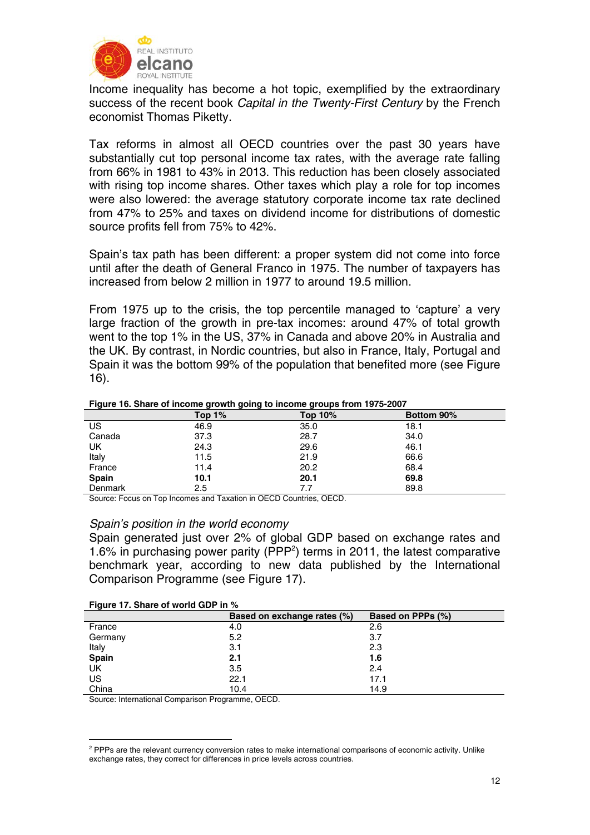

Income inequality has become a hot topic, exemplified by the extraordinary success of the recent book *Capital in the Twenty-First Century* by the French economist Thomas Piketty.

Tax reforms in almost all OECD countries over the past 30 years have substantially cut top personal income tax rates, with the average rate falling from 66% in 1981 to 43% in 2013. This reduction has been closely associated with rising top income shares. Other taxes which play a role for top incomes were also lowered: the average statutory corporate income tax rate declined from 47% to 25% and taxes on dividend income for distributions of domestic source profits fell from 75% to 42%.

Spain's tax path has been different: a proper system did not come into force until after the death of General Franco in 1975. The number of taxpayers has increased from below 2 million in 1977 to around 19.5 million.

From 1975 up to the crisis, the top percentile managed to 'capture' a very large fraction of the growth in pre-tax incomes: around 47% of total growth went to the top 1% in the US, 37% in Canada and above 20% in Australia and the UK. By contrast, in Nordic countries, but also in France, Italy, Portugal and Spain it was the bottom 99% of the population that benefited more (see Figure 16).

#### **Figure 16. Share of income growth going to income groups from 1975-2007**

|         | Top $1\%$ | <b>Top 10%</b> | Bottom 90% |
|---------|-----------|----------------|------------|
| US      | 46.9      | 35.0           | 18.1       |
| Canada  | 37.3      | 28.7           | 34.0       |
| UK      | 24.3      | 29.6           | 46.1       |
| Italy   | 11.5      | 21.9           | 66.6       |
| France  | 11.4      | 20.2           | 68.4       |
| Spain   | 10.1      | 20.1           | 69.8       |
| Denmark | 2.5       | 7.7            | 89.8       |

Source: Focus on Top Incomes and Taxation in OECD Countries, OECD.

#### *Spain's position in the world economy*

Spain generated just over 2% of global GDP based on exchange rates and 1.6% in purchasing power parity (PPP2 ) terms in 2011, the latest comparative benchmark year, according to new data published by the International Comparison Programme (see Figure 17).

| Figure 17. Share of world GDP in % |  |  |  |  |
|------------------------------------|--|--|--|--|
|                                    |  |  |  |  |

| . .       | Based on exchange rates (%) | <b>Based on PPPs (%)</b> |
|-----------|-----------------------------|--------------------------|
| France    | 4.0                         | 2.6                      |
| Germany   | 5.2                         | 3.7                      |
| Italy     | 3.1                         | 2.3                      |
| Spain     | 2.1                         | 1.6                      |
| UK        | 3.5                         | 2.4                      |
| <b>US</b> | 22.1                        | 17.1                     |
| China     | 10.4                        | 14.9                     |

Source: International Comparison Programme, OECD.

<sup>1</sup> <sup>2</sup> PPPs are the relevant currency conversion rates to make international comparisons of economic activity. Unlike exchange rates, they correct for differences in price levels across countries.